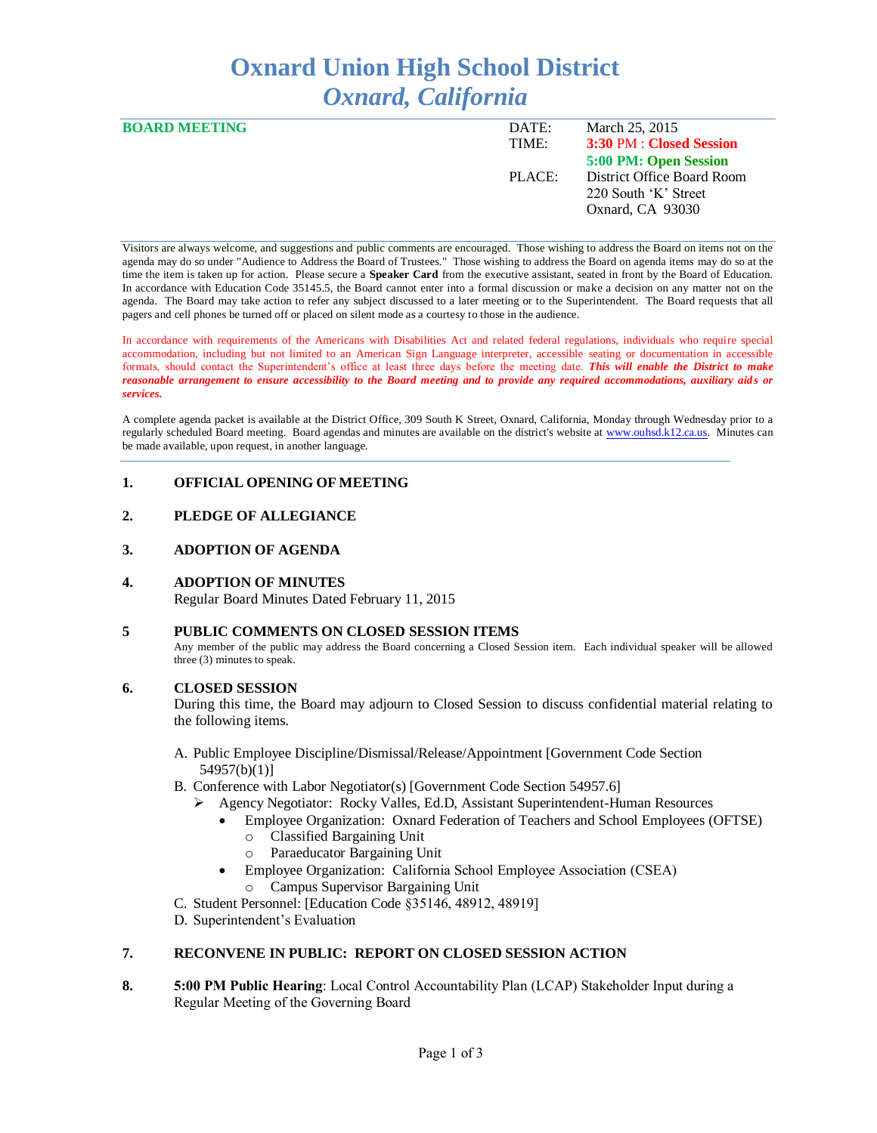# **Oxnard Union High School District** *Oxnard, California*

| <b>BOARD MEETING</b> | DATE:  | March 25, 2015             |
|----------------------|--------|----------------------------|
|                      | TIME:  | 3:30 PM : Closed Session   |
|                      |        | 5:00 PM: Open Session      |
|                      | PLACE: | District Office Board Room |
|                      |        | 220 South 'K' Street       |
|                      |        | Oxnard, CA 93030           |
|                      |        |                            |

Visitors are always welcome, and suggestions and public comments are encouraged. Those wishing to address the Board on items not on the agenda may do so under "Audience to Address the Board of Trustees." Those wishing to address the Board on agenda items may do so at the time the item is taken up for action. Please secure a **Speaker Card** from the executive assistant, seated in front by the Board of Education. In accordance with Education Code 35145.5, the Board cannot enter into a formal discussion or make a decision on any matter not on the agenda. The Board may take action to refer any subject discussed to a later meeting or to the Superintendent. The Board requests that all pagers and cell phones be turned off or placed on silent mode as a courtesy to those in the audience.

In accordance with requirements of the Americans with Disabilities Act and related federal regulations, individuals who require special accommodation, including but not limited to an American Sign Language interpreter, accessible seating or documentation in accessible formats, should contact the Superintendent's office at least three days before the meeting date. *This will enable the District to make reasonable arrangement to ensure accessibility to the Board meeting and to provide any required accommodations, auxiliary aids or services.* 

A complete agenda packet is available at the District Office, 309 South K Street, Oxnard, California, Monday through Wednesday prior to a regularly scheduled Board meeting. Board agendas and minutes are available on the district's website at [www.ouhsd.k12.ca.us.](http://www.ouhsd.k12.ca.us/)Minutes can be made available, upon request, in another language.

# **1. OFFICIAL OPENING OF MEETING**

# **2. PLEDGE OF ALLEGIANCE**

# **3. ADOPTION OF AGENDA**

# **4. ADOPTION OF MINUTES**

Regular Board Minutes Dated February 11, 2015

# **5 PUBLIC COMMENTS ON CLOSED SESSION ITEMS**

Any member of the public may address the Board concerning a Closed Session item. Each individual speaker will be allowed three (3) minutes to speak.

# **6. CLOSED SESSION**

During this time, the Board may adjourn to Closed Session to discuss confidential material relating to the following items.

- A. Public Employee Discipline/Dismissal/Release/Appointment [Government Code Section 54957(b)(1)]
- B. Conference with Labor Negotiator(s) [Government Code Section 54957.6]
	- Agency Negotiator: Rocky Valles, Ed.D, Assistant Superintendent-Human Resources
		- Employee Organization: Oxnard Federation of Teachers and School Employees (OFTSE)
			- o Classified Bargaining Unit
			- o Paraeducator Bargaining Unit
		- Employee Organization: California School Employee Association (CSEA) Campus Supervisor Bargaining Unit
- C. Student Personnel: [Education Code §35146, 48912, 48919]
- D. Superintendent's Evaluation

# **7. RECONVENE IN PUBLIC: REPORT ON CLOSED SESSION ACTION**

**8. 5:00 PM Public Hearing**: Local Control Accountability Plan (LCAP) Stakeholder Input during a Regular Meeting of the Governing Board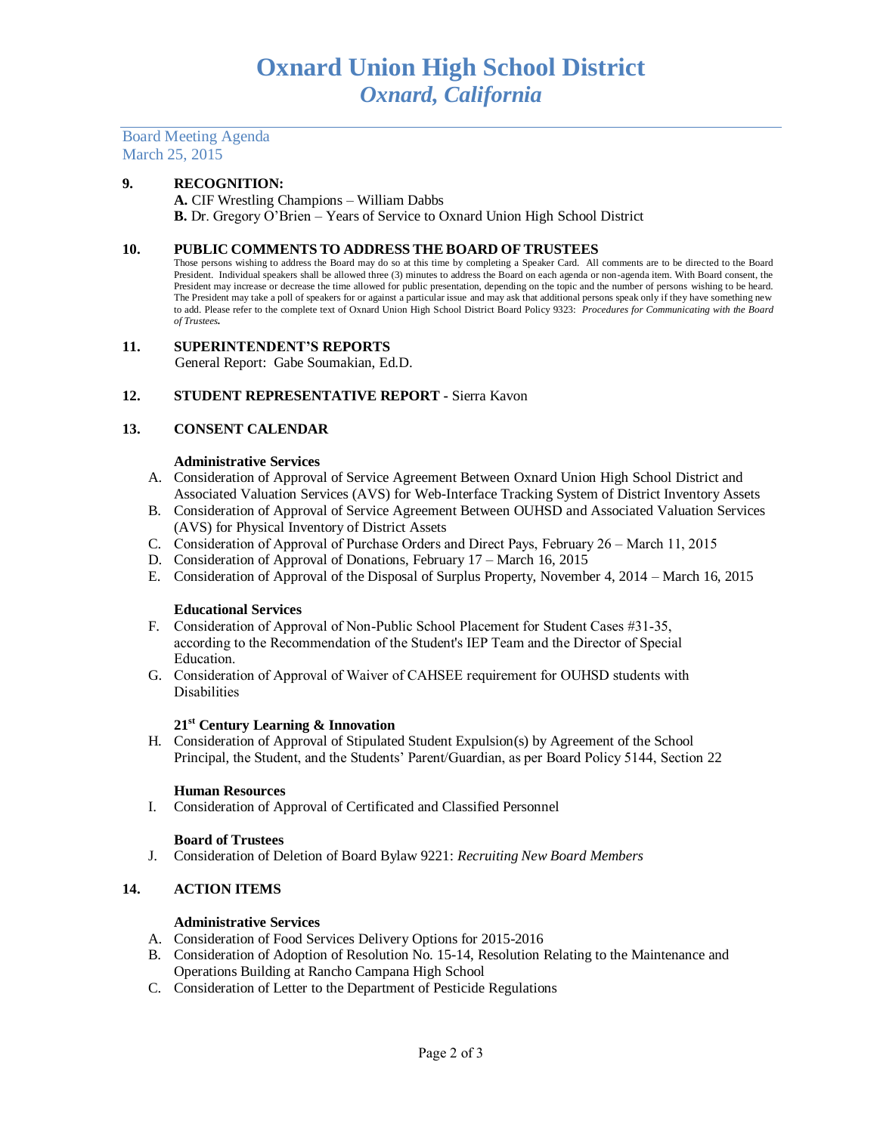Board Meeting Agenda March 25, 2015

# **9. RECOGNITION:**

**A.** CIF Wrestling Champions – William Dabbs **B.** Dr. Gregory O'Brien – Years of Service to Oxnard Union High School District

#### **10. PUBLIC COMMENTS TO ADDRESS THE BOARD OF TRUSTEES**

Those persons wishing to address the Board may do so at this time by completing a Speaker Card. All comments are to be directed to the Board President. Individual speakers shall be allowed three (3) minutes to address the Board on each agenda or non-agenda item. With Board consent, the President may increase or decrease the time allowed for public presentation, depending on the topic and the number of persons wishing to be heard. The President may take a poll of speakers for or against a particular issue and may ask that additional persons speak only if they have something new to add. Please refer to the complete text of Oxnard Union High School District Board Policy 9323: *Procedures for Communicating with the Board of Trustees.*

# **11. SUPERINTENDENT'S REPORTS**

General Report: Gabe Soumakian, Ed.D.

# **12. STUDENT REPRESENTATIVE REPORT -** Sierra Kavon

# **13. CONSENT CALENDAR**

#### **Administrative Services**

- A. Consideration of Approval of Service Agreement Between Oxnard Union High School District and Associated Valuation Services (AVS) for Web-Interface Tracking System of District Inventory Assets
- B. Consideration of Approval of Service Agreement Between OUHSD and Associated Valuation Services (AVS) for Physical Inventory of District Assets
- C. Consideration of Approval of Purchase Orders and Direct Pays, February 26 March 11, 2015
- D. Consideration of Approval of Donations, February 17 March 16, 2015
- E. Consideration of Approval of the Disposal of Surplus Property, November 4, 2014 March 16, 2015

#### **Educational Services**

- F. Consideration of Approval of Non-Public School Placement for Student Cases #31-35, according to the Recommendation of the Student's IEP Team and the Director of Special Education.
- G. Consideration of Approval of Waiver of CAHSEE requirement for OUHSD students with Disabilities

#### **21st Century Learning & Innovation**

H. Consideration of Approval of Stipulated Student Expulsion(s) by Agreement of the School Principal, the Student, and the Students' Parent/Guardian, as per Board Policy 5144, Section 22

#### **Human Resources**

I. Consideration of Approval of Certificated and Classified Personnel

#### **Board of Trustees**

J. Consideration of Deletion of Board Bylaw 9221: *Recruiting New Board Members*

# **14. ACTION ITEMS**

#### **Administrative Services**

A. Consideration of Food Services Delivery Options for 2015-2016

- B. Consideration of Adoption of Resolution No. 15-14, Resolution Relating to the Maintenance and Operations Building at Rancho Campana High School
- C. Consideration of Letter to the Department of Pesticide Regulations